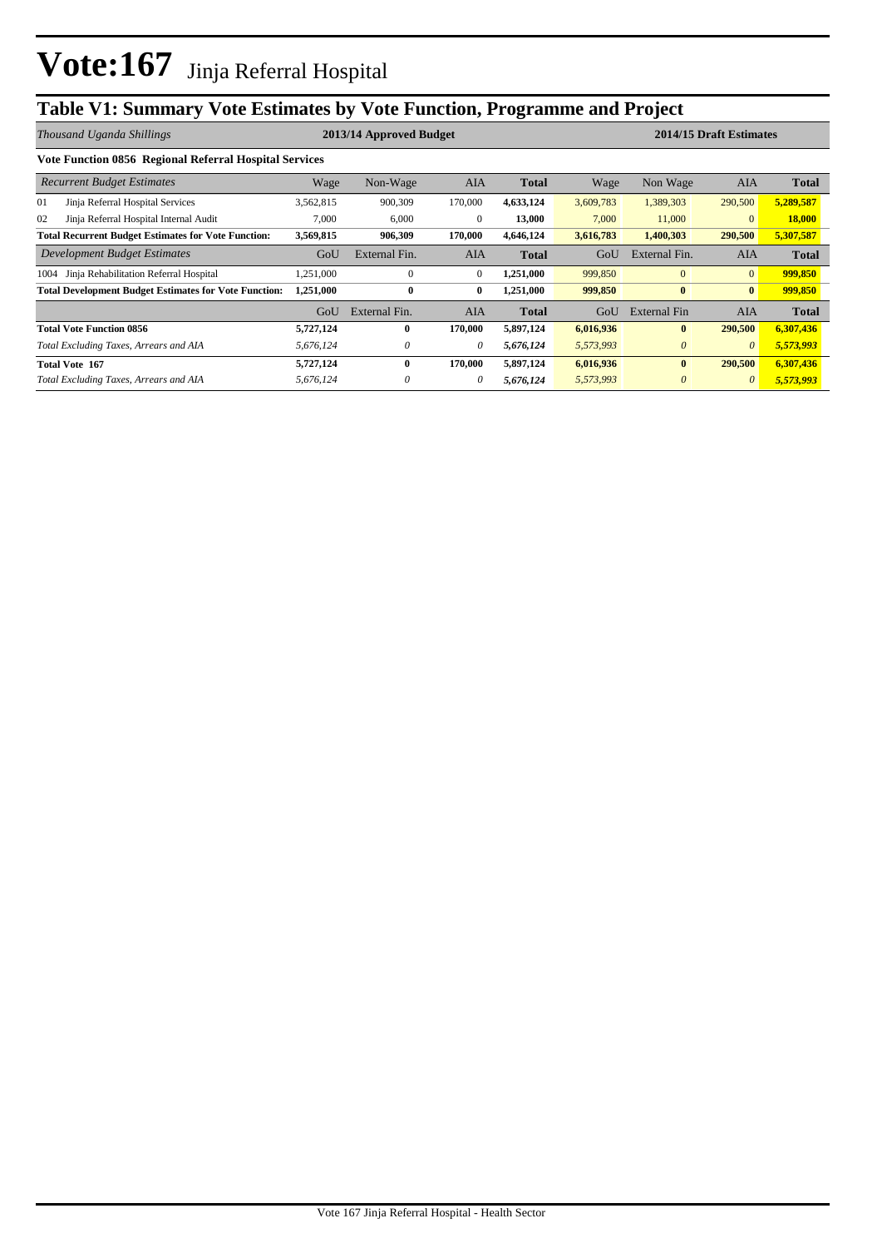# **Table V1: Summary Vote Estimates by Vote Function, Programme and Project**

|                                                        | Thousand Uganda Shillings                                    |           | 2013/14 Approved Budget |              |              |           | 2014/15 Draft Estimates |                |              |  |  |  |  |
|--------------------------------------------------------|--------------------------------------------------------------|-----------|-------------------------|--------------|--------------|-----------|-------------------------|----------------|--------------|--|--|--|--|
| Vote Function 0856 Regional Referral Hospital Services |                                                              |           |                         |              |              |           |                         |                |              |  |  |  |  |
| <b>Recurrent Budget Estimates</b>                      |                                                              | Wage      | Non-Wage                | AIA          | <b>Total</b> | Wage      | Non Wage                | AIA            | <b>Total</b> |  |  |  |  |
| 01                                                     | Jinja Referral Hospital Services                             | 3,562,815 | 900,309                 | 170,000      | 4,633,124    | 3,609,783 | 1,389,303               | 290,500        | 5,289,587    |  |  |  |  |
| 02                                                     | Jinja Referral Hospital Internal Audit                       | 7,000     | 6,000                   | $\mathbf{0}$ | 13,000       | 7,000     | 11,000                  | $\mathbf{0}$   | 18,000       |  |  |  |  |
|                                                        | <b>Total Recurrent Budget Estimates for Vote Function:</b>   | 3,569,815 | 906,309                 | 170,000      | 4,646,124    | 3,616,783 | 1,400,303               | 290,500        | 5,307,587    |  |  |  |  |
|                                                        | Development Budget Estimates                                 | GoU       | External Fin.           | <b>AIA</b>   | <b>Total</b> | GoU       | External Fin.           | <b>AIA</b>     | <b>Total</b> |  |  |  |  |
| 1004                                                   | Jinja Rehabilitation Referral Hospital                       | .251,000  | $\mathbf{0}$            | $\mathbf{0}$ | 1,251,000    | 999,850   | $\mathbf{0}$            | $\overline{0}$ | 999,850      |  |  |  |  |
|                                                        | <b>Total Development Budget Estimates for Vote Function:</b> | 1,251,000 | $\bf{0}$                | $\bf{0}$     | 1,251,000    | 999,850   | $\bf{0}$                | $\bf{0}$       | 999,850      |  |  |  |  |
|                                                        |                                                              | GoU       | External Fin.           | <b>AIA</b>   | <b>Total</b> | GoU       | External Fin            | AIA            | <b>Total</b> |  |  |  |  |
|                                                        | <b>Total Vote Function 0856</b>                              | 5,727,124 | $\mathbf{0}$            | 170,000      | 5,897,124    | 6,016,936 | $\mathbf{0}$            | 290,500        | 6,307,436    |  |  |  |  |
|                                                        | Total Excluding Taxes, Arrears and AIA                       | 5,676,124 | 0                       | $\theta$     | 5,676,124    | 5,573,993 | $\theta$                | $\theta$       | 5,573,993    |  |  |  |  |
|                                                        | <b>Total Vote 167</b>                                        | 5,727,124 | $\mathbf{0}$            | 170,000      | 5,897,124    | 6,016,936 | $\mathbf{0}$            | 290,500        | 6,307,436    |  |  |  |  |
|                                                        | Total Excluding Taxes, Arrears and AIA                       | 5,676,124 | $\theta$                | 0            | 5,676,124    | 5,573,993 | $\theta$                | $\theta$       | 5,573,993    |  |  |  |  |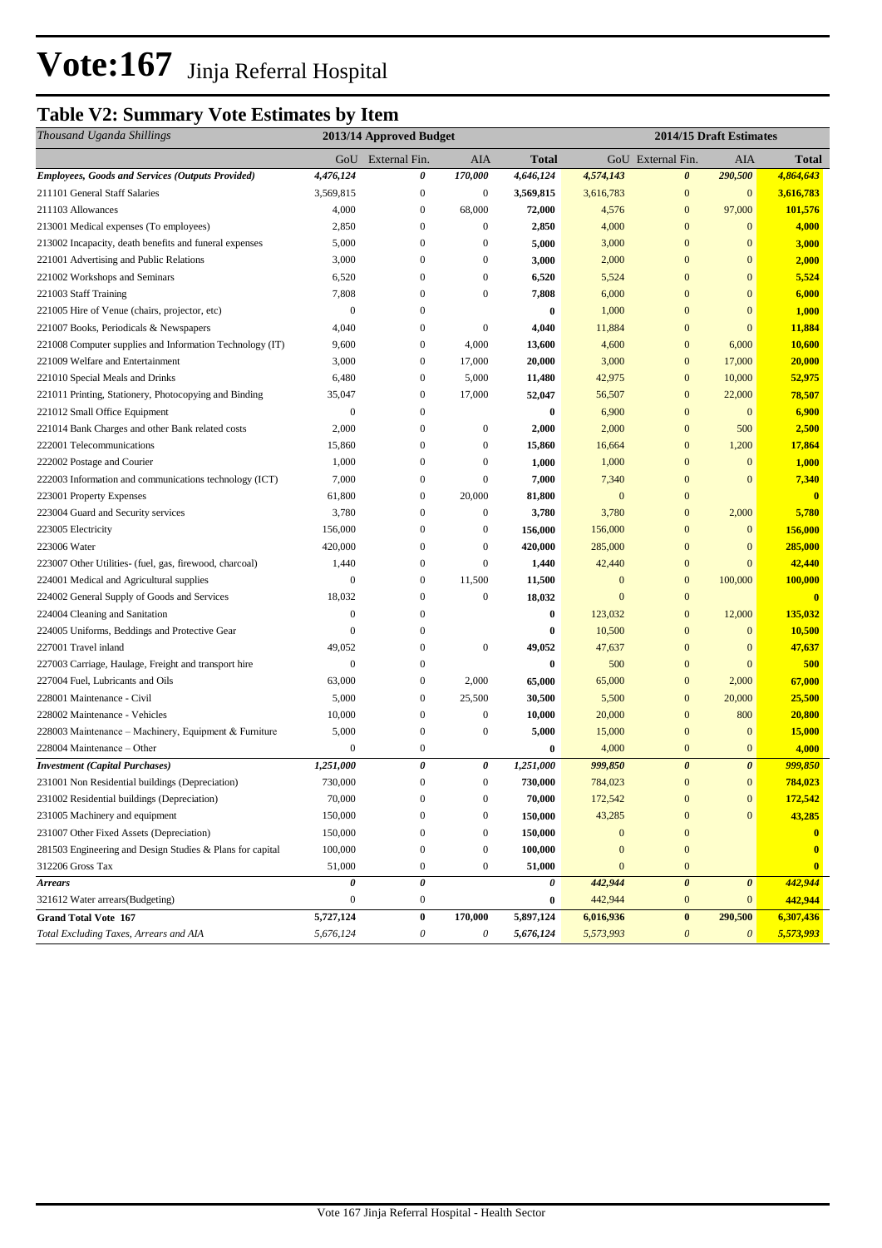# Vote:167 Jinja Referral Hospital

# **Table V2: Summary Vote Estimates by Item**

| Thousand Uganda Shillings                                 |                  | 2013/14 Approved Budget |                       | 2014/15 Draft Estimates |                  |                       |                       |               |
|-----------------------------------------------------------|------------------|-------------------------|-----------------------|-------------------------|------------------|-----------------------|-----------------------|---------------|
|                                                           |                  | GoU External Fin.       | <b>AIA</b>            | Total                   |                  | GoU External Fin.     | AIA                   | <b>Total</b>  |
| <b>Employees, Goods and Services (Outputs Provided)</b>   | 4,476,124        | 0                       | 170,000               | 4,646,124               | 4,574,143        | $\boldsymbol{\theta}$ | 290,500               | 4,864,643     |
| 211101 General Staff Salaries                             | 3,569,815        | $\boldsymbol{0}$        | $\boldsymbol{0}$      | 3,569,815               | 3,616,783        | $\mathbf{0}$          | $\mathbf{0}$          | 3,616,783     |
| 211103 Allowances                                         | 4,000            | $\mathbf{0}$            | 68,000                | 72,000                  | 4,576            | $\mathbf{0}$          | 97,000                | 101,576       |
| 213001 Medical expenses (To employees)                    | 2,850            | $\mathbf{0}$            | $\boldsymbol{0}$      | 2,850                   | 4,000            | $\mathbf{0}$          | $\mathbf{0}$          | 4,000         |
| 213002 Incapacity, death benefits and funeral expenses    | 5,000            | $\mathbf{0}$            | $\boldsymbol{0}$      | 5,000                   | 3,000            | $\mathbf{0}$          | $\mathbf{0}$          | 3,000         |
| 221001 Advertising and Public Relations                   | 3,000            | $\boldsymbol{0}$        | $\boldsymbol{0}$      | 3,000                   | 2,000            | $\mathbf{0}$          | $\mathbf{0}$          | 2,000         |
| 221002 Workshops and Seminars                             | 6,520            | $\mathbf{0}$            | $\boldsymbol{0}$      | 6,520                   | 5,524            | $\mathbf{0}$          | $\mathbf{0}$          | 5,524         |
| 221003 Staff Training                                     | 7,808            | $\mathbf{0}$            | $\boldsymbol{0}$      | 7,808                   | 6,000            | $\mathbf{0}$          | $\mathbf{0}$          | 6,000         |
| 221005 Hire of Venue (chairs, projector, etc)             | $\boldsymbol{0}$ | $\boldsymbol{0}$        |                       | $\bf{0}$                | 1,000            | $\mathbf{0}$          | $\mathbf{0}$          | 1,000         |
| 221007 Books, Periodicals & Newspapers                    | 4,040            | $\boldsymbol{0}$        | $\boldsymbol{0}$      | 4,040                   | 11,884           | $\bf{0}$              | $\mathbf{0}$          | 11,884        |
| 221008 Computer supplies and Information Technology (IT)  | 9,600            | $\boldsymbol{0}$        | 4,000                 | 13,600                  | 4,600            | $\mathbf{0}$          | 6,000                 | 10,600        |
| 221009 Welfare and Entertainment                          | 3,000            | $\boldsymbol{0}$        | 17,000                | 20,000                  | 3,000            | $\mathbf{0}$          | 17,000                | 20,000        |
| 221010 Special Meals and Drinks                           | 6,480            | $\mathbf{0}$            | 5,000                 | 11,480                  | 42,975           | $\mathbf{0}$          | 10,000                | 52,975        |
| 221011 Printing, Stationery, Photocopying and Binding     | 35,047           | $\mathbf{0}$            | 17,000                | 52,047                  | 56,507           | $\mathbf{0}$          | 22,000                | 78,507        |
| 221012 Small Office Equipment                             | $\boldsymbol{0}$ | $\mathbf{0}$            |                       | 0                       | 6,900            | $\bf{0}$              | $\mathbf{0}$          | 6,900         |
| 221014 Bank Charges and other Bank related costs          | 2,000            | $\mathbf{0}$            | $\boldsymbol{0}$      | 2,000                   | 2,000            | $\mathbf{0}$          | 500                   | 2,500         |
| 222001 Telecommunications                                 | 15,860           | $\mathbf{0}$            | $\boldsymbol{0}$      | 15,860                  | 16,664           | $\mathbf{0}$          | 1,200                 | 17,864        |
| 222002 Postage and Courier                                | 1,000            | $\boldsymbol{0}$        | $\boldsymbol{0}$      | 1,000                   | 1,000            | $\mathbf{0}$          | $\mathbf{0}$          | 1,000         |
| 222003 Information and communications technology (ICT)    | 7,000            | $\mathbf{0}$            | $\boldsymbol{0}$      | 7,000                   | 7,340            | $\mathbf{0}$          | $\mathbf{0}$          | 7,340         |
| 223001 Property Expenses                                  | 61,800           | $\boldsymbol{0}$        | 20,000                | 81,800                  | $\boldsymbol{0}$ | $\mathbf{0}$          |                       | $\bf{0}$      |
| 223004 Guard and Security services                        | 3,780            | $\mathbf{0}$            | $\boldsymbol{0}$      | 3,780                   | 3,780            | $\mathbf{0}$          | 2,000                 | 5,780         |
| 223005 Electricity                                        | 156,000          | $\mathbf{0}$            | $\boldsymbol{0}$      | 156,000                 | 156,000          | $\mathbf{0}$          | $\mathbf{0}$          | 156,000       |
| 223006 Water                                              | 420,000          | $\boldsymbol{0}$        | $\mathbf{0}$          | 420,000                 | 285,000          | $\bf{0}$              | $\mathbf{0}$          | 285,000       |
| 223007 Other Utilities- (fuel, gas, firewood, charcoal)   | 1,440            | $\boldsymbol{0}$        | $\boldsymbol{0}$      | 1,440                   | 42,440           | $\bf{0}$              | $\mathbf{0}$          | 42,440        |
| 224001 Medical and Agricultural supplies                  | $\mathbf{0}$     | $\mathbf{0}$            | 11,500                | 11,500                  | $\mathbf{0}$     | $\mathbf{0}$          | 100,000               | 100,000       |
| 224002 General Supply of Goods and Services               | 18,032           | $\mathbf{0}$            | $\boldsymbol{0}$      | 18,032                  | $\mathbf{0}$     | $\mathbf{0}$          |                       | $\mathbf{0}$  |
| 224004 Cleaning and Sanitation                            | $\mathbf{0}$     | $\mathbf{0}$            |                       | 0                       | 123,032          | $\bf{0}$              | 12,000                | 135,032       |
| 224005 Uniforms, Beddings and Protective Gear             | $\mathbf{0}$     | $\boldsymbol{0}$        |                       | $\bf{0}$                | 10,500           | $\mathbf{0}$          | $\mathbf{0}$          | 10,500        |
| 227001 Travel inland                                      | 49,052           | $\boldsymbol{0}$        | $\boldsymbol{0}$      | 49,052                  | 47,637           | $\bf{0}$              | $\mathbf{0}$          | 47,637        |
| 227003 Carriage, Haulage, Freight and transport hire      | $\overline{0}$   | $\boldsymbol{0}$        |                       | $\bf{0}$                | 500              | $\bf{0}$              | $\mathbf{0}$          | 500           |
| 227004 Fuel, Lubricants and Oils                          | 63,000           | $\mathbf{0}$            | 2,000                 | 65,000                  | 65,000           | $\mathbf{0}$          | 2,000                 | 67,000        |
| 228001 Maintenance - Civil                                | 5,000            | $\boldsymbol{0}$        | 25,500                | 30,500                  | 5,500            | $\mathbf{0}$          | 20,000                | 25,500        |
| 228002 Maintenance - Vehicles                             | 10,000           | $\mathbf{0}$            | $\boldsymbol{0}$      | 10,000                  | 20,000           | $\mathbf{0}$          | 800                   | 20,800        |
| 228003 Maintenance - Machinery, Equipment & Furniture     | 5,000            | $\mathbf{0}$            | $\boldsymbol{0}$      | 5,000                   | 15,000           | $\mathbf{0}$          | $\mathbf{0}$          | <b>15,000</b> |
| 228004 Maintenance – Other                                | $\mathbf{0}$     | $\boldsymbol{0}$        |                       | $\bf{0}$                | 4,000            | $\mathbf{0}$          | $\mathbf{0}$          | 4,000         |
| <b>Investment</b> (Capital Purchases)                     | 1,251,000        | $\pmb{\theta}$          | 0                     | 1,251,000               | 999,850          | $\boldsymbol{\theta}$ | $\boldsymbol{\theta}$ | 999,850       |
| 231001 Non Residential buildings (Depreciation)           | 730,000          | $\mathbf{0}$            | $\mathbf{0}$          | 730,000                 | 784,023          | $\mathbf{0}$          | $\mathbf{0}$          | 784,023       |
| 231002 Residential buildings (Depreciation)               | 70,000           | $\boldsymbol{0}$        | $\boldsymbol{0}$      | 70,000                  | 172,542          | $\boldsymbol{0}$      | $\boldsymbol{0}$      | 172,542       |
| 231005 Machinery and equipment                            | 150,000          | $\boldsymbol{0}$        | $\boldsymbol{0}$      | 150,000                 | 43,285           | $\bf{0}$              | $\mathbf{0}$          | 43,285        |
| 231007 Other Fixed Assets (Depreciation)                  | 150,000          | $\boldsymbol{0}$        | $\boldsymbol{0}$      | 150,000                 | $\boldsymbol{0}$ | $\mathbf{0}$          |                       | $\bf{0}$      |
| 281503 Engineering and Design Studies & Plans for capital | 100,000          | $\boldsymbol{0}$        | $\boldsymbol{0}$      | 100,000                 | $\mathbf{0}$     | $\mathbf{0}$          |                       | $\bf{0}$      |
| 312206 Gross Tax                                          | 51,000           | $\boldsymbol{0}$        | $\boldsymbol{0}$      | 51,000                  | $\mathbf{0}$     | $\mathbf{0}$          |                       | $\bf{0}$      |
| <b>Arrears</b>                                            | 0                | $\pmb{\theta}$          |                       | 0                       | 442,944          | $\boldsymbol{\theta}$ | $\boldsymbol{\theta}$ | 442,944       |
| 321612 Water arrears (Budgeting)                          | $\boldsymbol{0}$ | $\boldsymbol{0}$        |                       | 0                       | 442,944          | $\boldsymbol{0}$      | $\mathbf{0}$          | 442,944       |
| <b>Grand Total Vote 167</b>                               | 5,727,124        | $\pmb{0}$               | 170,000               | 5,897,124               | 6,016,936        | $\bf{0}$              | 290,500               | 6,307,436     |
| Total Excluding Taxes, Arrears and AIA                    | 5,676,124        | $\boldsymbol{\theta}$   | $\boldsymbol{\theta}$ | 5,676,124               | 5,573,993        | $\boldsymbol{\theta}$ | $\boldsymbol{\theta}$ | 5,573,993     |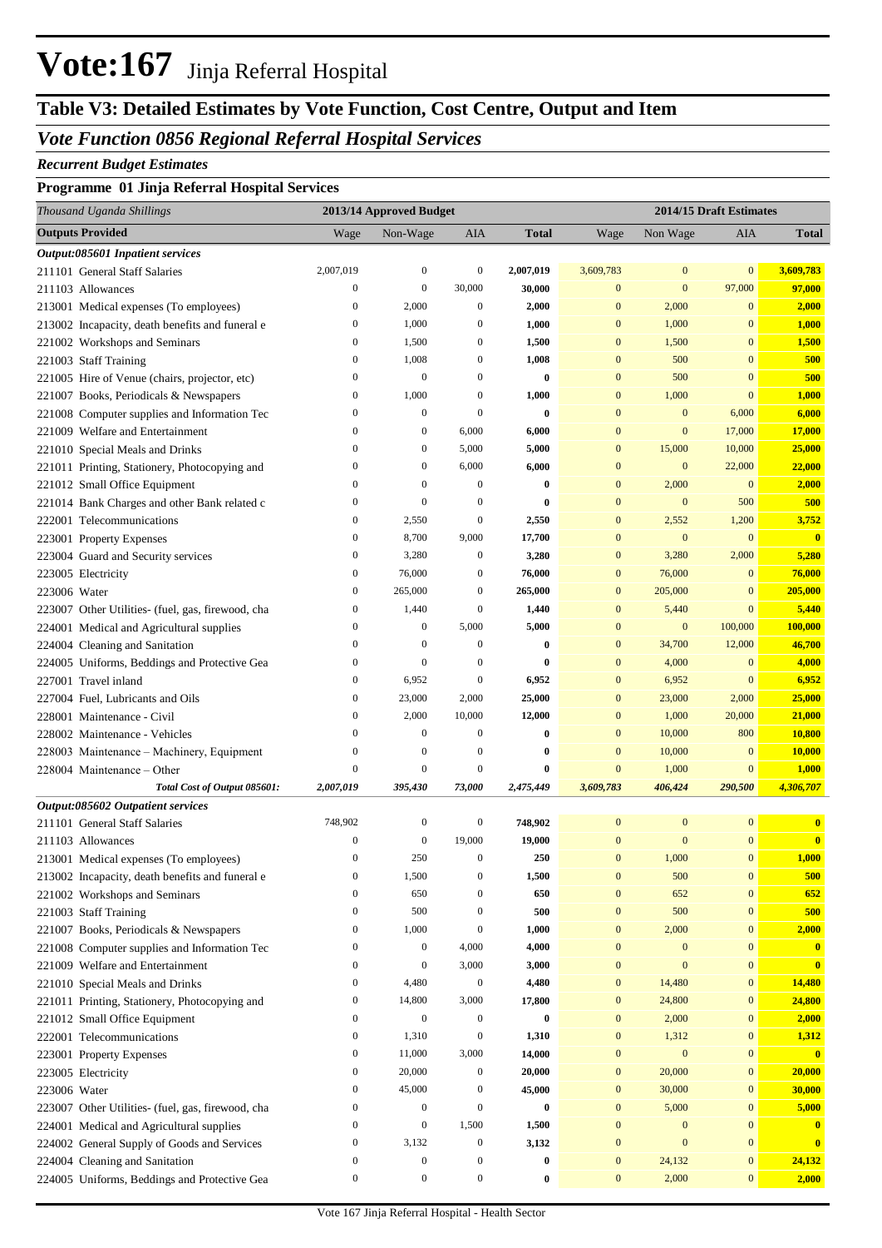# **Vote:167** Jinja Referral Hospital

# **Table V3: Detailed Estimates by Vote Function, Cost Centre, Output and Item**

### *Vote Function 0856 Regional Referral Hospital Services*

#### *Recurrent Budget Estimates*

#### **Programme 01 Jinja Referral Hospital Services**

| Thousand Uganda Shillings     |                                                   |                                      | 2013/14 Approved Budget |                                      |                  |                                      | 2014/15 Draft Estimates |                                  |                         |  |
|-------------------------------|---------------------------------------------------|--------------------------------------|-------------------------|--------------------------------------|------------------|--------------------------------------|-------------------------|----------------------------------|-------------------------|--|
| <b>Outputs Provided</b>       |                                                   | Wage                                 | Non-Wage                | AIA                                  | <b>Total</b>     | Wage                                 | Non Wage                | AIA                              | Total                   |  |
|                               | Output:085601 Inpatient services                  |                                      |                         |                                      |                  |                                      |                         |                                  |                         |  |
| 211101 General Staff Salaries |                                                   | 2,007,019                            | $\mathbf{0}$            | $\boldsymbol{0}$                     | 2,007,019        | 3,609,783                            | $\mathbf{0}$            | $\mathbf{0}$                     | 3,609,783               |  |
| 211103 Allowances             |                                                   | $\boldsymbol{0}$                     | $\boldsymbol{0}$        | 30,000                               | 30,000           | $\mathbf{0}$                         | $\mathbf{0}$            | 97,000                           | 97,000                  |  |
|                               | 213001 Medical expenses (To employees)            | $\boldsymbol{0}$                     | 2,000                   | $\boldsymbol{0}$                     | 2,000            | $\mathbf{0}$                         | 2,000                   | $\mathbf{0}$                     | 2,000                   |  |
|                               | 213002 Incapacity, death benefits and funeral e   | $\bf{0}$                             | 1,000                   | $\boldsymbol{0}$                     | 1,000            | $\bf{0}$                             | 1,000                   | $\mathbf{0}$                     | 1,000                   |  |
|                               | 221002 Workshops and Seminars                     | $\bf{0}$                             | 1,500                   | $\boldsymbol{0}$                     | 1,500            | $\bf{0}$                             | 1,500                   | $\bf{0}$                         | 1,500                   |  |
| 221003 Staff Training         |                                                   | $\boldsymbol{0}$                     | 1,008                   | $\boldsymbol{0}$                     | 1,008            | 0                                    | 500                     | $\bf{0}$                         | 500                     |  |
|                               | 221005 Hire of Venue (chairs, projector, etc)     | $\boldsymbol{0}$                     | $\mathbf{0}$            | $\boldsymbol{0}$                     | $\bf{0}$         | $\bf{0}$                             | 500                     | $\bf{0}$                         | 500                     |  |
|                               | 221007 Books, Periodicals & Newspapers            | $\bf{0}$                             | 1,000                   | $\boldsymbol{0}$                     | 1,000            | $\mathbf{0}$                         | 1,000                   | $\mathbf{0}$                     | 1,000                   |  |
|                               | 221008 Computer supplies and Information Tec      | $\boldsymbol{0}$                     | $\mathbf{0}$            | $\boldsymbol{0}$                     | $\bf{0}$         | $\bf{0}$                             | $\mathbf{0}$            | 6,000                            | 6,000                   |  |
|                               | 221009 Welfare and Entertainment                  | $\boldsymbol{0}$                     | $\mathbf{0}$            | 6,000                                | 6,000            | $\bf{0}$                             | $\mathbf{0}$            | 17,000                           | 17,000                  |  |
|                               | 221010 Special Meals and Drinks                   | $\mathbf{0}$                         | $\mathbf{0}$            | 5,000                                | 5,000            | $\mathbf{0}$                         | 15,000                  | 10,000                           | 25,000                  |  |
|                               | 221011 Printing, Stationery, Photocopying and     | $\mathbf{0}$                         | $\mathbf{0}$            | 6,000                                | 6,000            | $\bf{0}$                             | $\mathbf{0}$            | 22,000                           | 22,000                  |  |
|                               | 221012 Small Office Equipment                     | $\boldsymbol{0}$                     | $\mathbf{0}$            | $\boldsymbol{0}$                     | $\bf{0}$         | $\mathbf{0}$                         | 2,000                   | $\mathbf{0}$                     | 2,000                   |  |
|                               | 221014 Bank Charges and other Bank related c      | $\boldsymbol{0}$                     | $\mathbf{0}$            | $\boldsymbol{0}$                     | $\bf{0}$         | $\mathbf{0}$                         | $\mathbf{0}$            | 500                              | 500                     |  |
| 222001 Telecommunications     |                                                   | $\bf{0}$                             | 2,550                   | $\boldsymbol{0}$                     | 2,550            | $\mathbf{0}$                         | 2,552                   | 1,200                            | 3,752                   |  |
| 223001 Property Expenses      |                                                   | $\boldsymbol{0}$                     | 8,700                   | 9,000                                | 17,700           | $\mathbf{0}$                         | $\mathbf{0}$            | $\mathbf{0}$                     | $\overline{\mathbf{0}}$ |  |
|                               | 223004 Guard and Security services                | $\bf{0}$                             | 3,280                   | $\boldsymbol{0}$                     | 3,280            | $\bf{0}$                             | 3,280                   | 2,000                            | 5,280                   |  |
| 223005 Electricity            |                                                   | $\boldsymbol{0}$                     | 76,000                  | $\boldsymbol{0}$                     | 76,000           | $\bf{0}$                             | 76,000                  | $\mathbf{0}$                     | 76,000                  |  |
| 223006 Water                  |                                                   | $\bf{0}$                             | 265,000                 | $\boldsymbol{0}$                     | 265,000          | $\mathbf{0}$                         | 205,000                 | $\mathbf{0}$                     | 205,000                 |  |
|                               | 223007 Other Utilities- (fuel, gas, firewood, cha | $\bf{0}$                             | 1,440                   | $\boldsymbol{0}$                     | 1,440            | $\bf{0}$                             | 5,440                   | $\overline{0}$                   | 5,440                   |  |
|                               | 224001 Medical and Agricultural supplies          | $\boldsymbol{0}$                     | $\mathbf{0}$            | 5,000                                | 5,000            | $\bf{0}$                             | $\mathbf{0}$            | 100,000                          | 100,000                 |  |
|                               | 224004 Cleaning and Sanitation                    | $\boldsymbol{0}$                     | $\mathbf{0}$            | $\boldsymbol{0}$                     | $\bf{0}$         | $\mathbf{0}$                         | 34,700                  | 12,000                           | 46,700                  |  |
|                               | 224005 Uniforms, Beddings and Protective Gea      | $\boldsymbol{0}$                     | $\mathbf{0}$            | 0                                    | $\bf{0}$         | $\mathbf{0}$                         | 4,000                   | $\mathbf{0}$                     | 4,000                   |  |
| 227001 Travel inland          |                                                   | $\bf{0}$                             | 6,952                   | $\boldsymbol{0}$                     | 6,952            | $\mathbf{0}$                         | 6,952                   | $\mathbf{0}$                     | 6,952                   |  |
|                               | 227004 Fuel, Lubricants and Oils                  | $\boldsymbol{0}$                     | 23,000                  | 2,000                                | 25,000           | $\bf{0}$                             | 23,000                  | 2,000                            | 25,000                  |  |
| 228001 Maintenance - Civil    |                                                   | $\bf{0}$                             | 2,000                   | 10,000                               | 12,000           | $\bf{0}$                             | 1,000                   | 20,000                           | 21,000                  |  |
|                               | 228002 Maintenance - Vehicles                     | $\boldsymbol{0}$                     | $\mathbf{0}$            | $\boldsymbol{0}$                     | $\bf{0}$         | $\mathbf{0}$                         | 10,000                  | 800                              | 10,800                  |  |
|                               | 228003 Maintenance - Machinery, Equipment         | $\boldsymbol{0}$                     | $\mathbf{0}$            | $\boldsymbol{0}$                     | $\bf{0}$         | $\mathbf{0}$                         | 10,000                  | $\bf{0}$                         | 10,000                  |  |
| 228004 Maintenance – Other    |                                                   | $\overline{0}$                       | $\mathbf{0}$            | $\boldsymbol{0}$                     | $\bf{0}$         | $\mathbf{0}$                         | 1,000                   | $\mathbf{0}$                     | 1,000                   |  |
|                               | Total Cost of Output 085601:                      | 2,007,019                            | 395,430                 | 73,000                               | 2,475,449        | 3,609,783                            | 406,424                 | 290,500                          | 4,306,707               |  |
|                               | Output:085602 Outpatient services                 |                                      |                         |                                      |                  |                                      |                         |                                  |                         |  |
| 211101 General Staff Salaries |                                                   | 748,902                              | $\mathbf{0}$            | $\mathbf{0}$                         | 748,902          | $\bf{0}$                             | $\mathbf{0}$            | $\mathbf{0}$                     | $\bf{0}$                |  |
| 211103 Allowances             |                                                   | $\boldsymbol{0}$                     | $\mathbf{0}$            | 19,000                               | 19,000           | $\bf{0}$<br>$\overline{0}$           | $\overline{0}$          | $\overline{0}$<br>$\mathbf{0}$   | $\mathbf{0}$            |  |
|                               | 213001 Medical expenses (To employees)            | $\boldsymbol{0}$<br>$\boldsymbol{0}$ | 250<br>1,500            | $\boldsymbol{0}$<br>$\boldsymbol{0}$ | 250<br>1,500     |                                      | 1,000                   |                                  | 1,000<br>500            |  |
|                               | 213002 Incapacity, death benefits and funeral e   | $\boldsymbol{0}$                     | 650                     | $\boldsymbol{0}$                     | 650              | $\boldsymbol{0}$<br>$\boldsymbol{0}$ | 500<br>652              | $\boldsymbol{0}$<br>$\mathbf{0}$ | 652                     |  |
|                               | 221002 Workshops and Seminars                     | $\boldsymbol{0}$                     | 500                     | $\boldsymbol{0}$                     | 500              | $\boldsymbol{0}$                     | 500                     | $\boldsymbol{0}$                 | 500                     |  |
| 221003 Staff Training         | 221007 Books, Periodicals & Newspapers            | $\boldsymbol{0}$                     | 1,000                   | $\boldsymbol{0}$                     | 1,000            | $\boldsymbol{0}$                     | 2,000                   | $\boldsymbol{0}$                 | 2,000                   |  |
|                               | 221008 Computer supplies and Information Tec      | $\boldsymbol{0}$                     | $\boldsymbol{0}$        | 4,000                                | 4,000            | $\boldsymbol{0}$                     | $\boldsymbol{0}$        | $\mathbf{0}$                     | $\mathbf{0}$            |  |
|                               | 221009 Welfare and Entertainment                  | $\boldsymbol{0}$                     | $\boldsymbol{0}$        | 3,000                                | 3,000            | $\boldsymbol{0}$                     | $\mathbf{0}$            | $\bf{0}$                         | $\mathbf{0}$            |  |
|                               | 221010 Special Meals and Drinks                   | $\boldsymbol{0}$                     | 4,480                   | $\boldsymbol{0}$                     | 4,480            | $\boldsymbol{0}$                     | 14,480                  | $\boldsymbol{0}$                 | 14,480                  |  |
|                               | 221011 Printing, Stationery, Photocopying and     | $\boldsymbol{0}$                     | 14,800                  | 3,000                                | 17,800           | $\boldsymbol{0}$                     | 24,800                  | $\boldsymbol{0}$                 | 24,800                  |  |
|                               | 221012 Small Office Equipment                     | $\boldsymbol{0}$                     | $\boldsymbol{0}$        | $\boldsymbol{0}$                     | $\boldsymbol{0}$ | $\boldsymbol{0}$                     | 2,000                   | $\boldsymbol{0}$                 | 2,000                   |  |
| 222001 Telecommunications     |                                                   | $\boldsymbol{0}$                     | 1,310                   | $\boldsymbol{0}$                     | 1,310            | $\boldsymbol{0}$                     | 1,312                   | $\boldsymbol{0}$                 | 1,312                   |  |
| 223001 Property Expenses      |                                                   | $\boldsymbol{0}$                     | 11,000                  | 3,000                                | 14,000           | $\boldsymbol{0}$                     | $\boldsymbol{0}$        | $\mathbf{0}$                     | $\mathbf{0}$            |  |
| 223005 Electricity            |                                                   | $\boldsymbol{0}$                     | 20,000                  | $\boldsymbol{0}$                     | 20,000           | $\boldsymbol{0}$                     | 20,000                  | $\boldsymbol{0}$                 | 20,000                  |  |
| 223006 Water                  |                                                   | $\boldsymbol{0}$                     | 45,000                  | $\boldsymbol{0}$                     | 45,000           | $\boldsymbol{0}$                     | 30,000                  | $\boldsymbol{0}$                 | 30,000                  |  |
|                               | 223007 Other Utilities- (fuel, gas, firewood, cha | $\boldsymbol{0}$                     | $\boldsymbol{0}$        | $\boldsymbol{0}$                     | $\boldsymbol{0}$ | $\boldsymbol{0}$                     | 5,000                   | $\boldsymbol{0}$                 | 5,000                   |  |
|                               | 224001 Medical and Agricultural supplies          | $\boldsymbol{0}$                     | $\boldsymbol{0}$        | 1,500                                | 1,500            | $\boldsymbol{0}$                     | $\boldsymbol{0}$        | $\mathbf{0}$                     | $\bf{0}$                |  |
|                               | 224002 General Supply of Goods and Services       | $\boldsymbol{0}$                     | 3,132                   | $\boldsymbol{0}$                     | 3,132            | $\boldsymbol{0}$                     | $\mathbf{0}$            | $\mathbf{0}$                     | $\mathbf{0}$            |  |
|                               | 224004 Cleaning and Sanitation                    | $\boldsymbol{0}$                     | $\boldsymbol{0}$        | $\boldsymbol{0}$                     | $\boldsymbol{0}$ | $\boldsymbol{0}$                     | 24,132                  | $\boldsymbol{0}$                 | 24,132                  |  |
|                               | 224005 Uniforms, Beddings and Protective Gea      | $\boldsymbol{0}$                     | $\boldsymbol{0}$        | $\boldsymbol{0}$                     | $\bf{0}$         | $\boldsymbol{0}$                     | 2,000                   | $\mathbf{0}$                     | 2,000                   |  |
|                               |                                                   |                                      |                         |                                      |                  |                                      |                         |                                  |                         |  |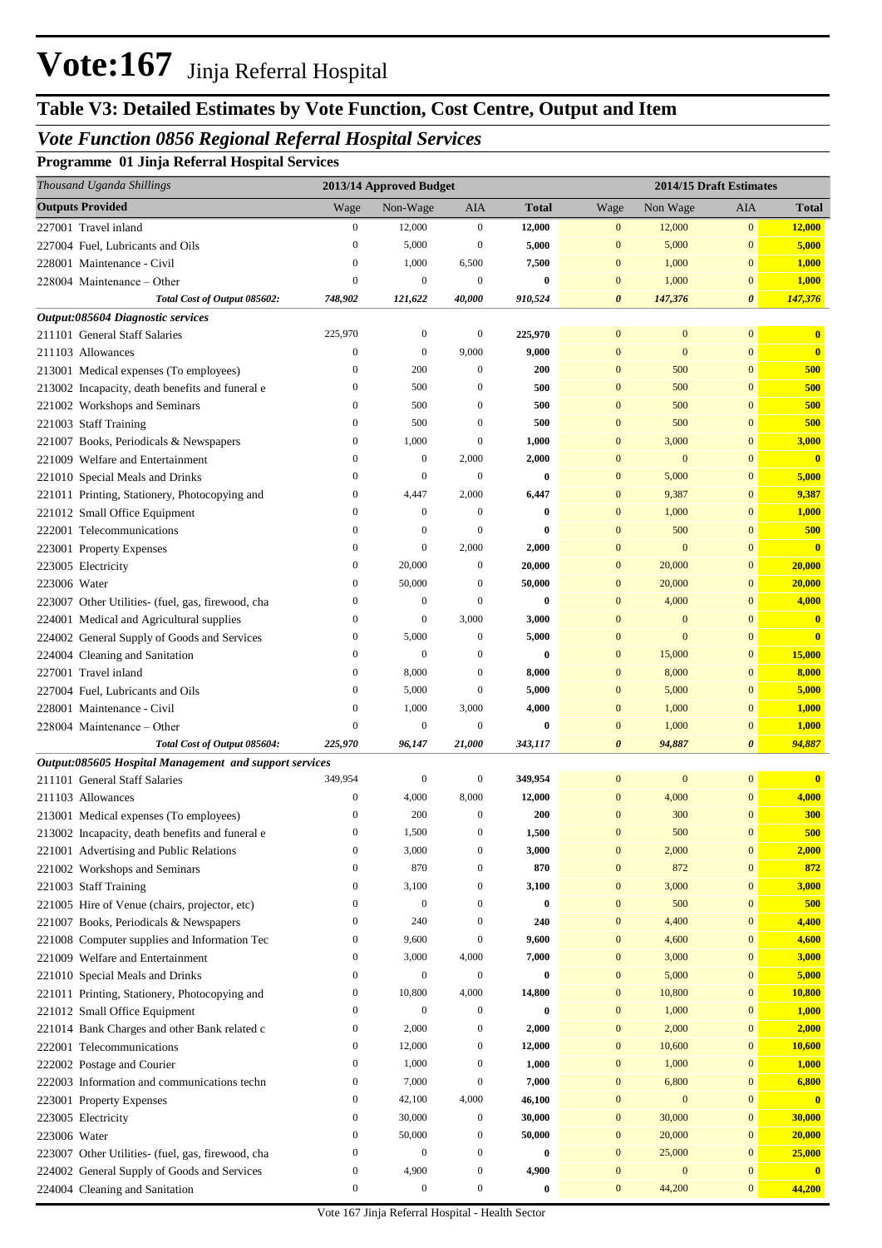# **Table V3: Detailed Estimates by Vote Function, Cost Centre, Output and Item**

### *Vote Function 0856 Regional Referral Hospital Services*

**Programme 01 Jinja Referral Hospital Services**

| Thousand Uganda Shillings                              | 2013/14 Approved Budget |                  |                  |              | 2014/15 Draft Estimates |                  |                       |                         |
|--------------------------------------------------------|-------------------------|------------------|------------------|--------------|-------------------------|------------------|-----------------------|-------------------------|
| <b>Outputs Provided</b>                                | Wage                    | Non-Wage         | AIA              | <b>Total</b> | Wage                    | Non Wage         | AIA                   | <b>Total</b>            |
| 227001 Travel inland                                   | $\boldsymbol{0}$        | 12,000           | $\boldsymbol{0}$ | 12,000       | $\mathbf{0}$            | 12,000           | $\mathbf{0}$          | 12,000                  |
| 227004 Fuel, Lubricants and Oils                       | $\boldsymbol{0}$        | 5,000            | $\boldsymbol{0}$ | 5,000        | $\mathbf{0}$            | 5,000            | $\mathbf{0}$          | 5,000                   |
| 228001 Maintenance - Civil                             | $\boldsymbol{0}$        | 1,000            | 6,500            | 7,500        | $\mathbf{0}$            | 1,000            | $\mathbf{0}$          | 1,000                   |
| 228004 Maintenance – Other                             | $\mathbf{0}$            | $\boldsymbol{0}$ | $\boldsymbol{0}$ | $\bf{0}$     | $\mathbf{0}$            | 1,000            | $\mathbf{0}$          | 1,000                   |
| Total Cost of Output 085602:                           | 748,902                 | 121,622          | 40,000           | 910,524      | $\boldsymbol{\theta}$   | 147,376          | $\boldsymbol{\theta}$ | 147,376                 |
| Output:085604 Diagnostic services                      |                         |                  |                  |              |                         |                  |                       |                         |
| 211101 General Staff Salaries                          | 225,970                 | $\boldsymbol{0}$ | $\boldsymbol{0}$ | 225,970      | $\mathbf{0}$            | $\mathbf{0}$     | $\mathbf{0}$          | $\bf{0}$                |
| 211103 Allowances                                      | $\boldsymbol{0}$        | $\boldsymbol{0}$ | 9,000            | 9,000        | $\mathbf{0}$            | $\mathbf{0}$     | $\mathbf{0}$          | $\mathbf{0}$            |
| 213001 Medical expenses (To employees)                 | $\boldsymbol{0}$        | 200              | $\boldsymbol{0}$ | 200          | $\mathbf{0}$            | 500              | $\mathbf{0}$          | 500                     |
| 213002 Incapacity, death benefits and funeral e        | $\boldsymbol{0}$        | 500              | $\boldsymbol{0}$ | 500          | $\mathbf{0}$            | 500              | $\mathbf{0}$          | 500                     |
| 221002 Workshops and Seminars                          | $\boldsymbol{0}$        | 500              | $\boldsymbol{0}$ | 500          | $\mathbf{0}$            | 500              | $\mathbf{0}$          | 500                     |
| 221003 Staff Training                                  | $\boldsymbol{0}$        | 500              | $\boldsymbol{0}$ | 500          | $\mathbf{0}$            | 500              | $\mathbf{0}$          | 500                     |
| 221007 Books, Periodicals & Newspapers                 | $\boldsymbol{0}$        | 1,000            | $\boldsymbol{0}$ | 1,000        | $\mathbf{0}$            | 3,000            | $\mathbf{0}$          | 3,000                   |
| 221009 Welfare and Entertainment                       | $\boldsymbol{0}$        | $\boldsymbol{0}$ | 2,000            | 2,000        | $\mathbf{0}$            | $\mathbf{0}$     | $\mathbf{0}$          | $\overline{\mathbf{0}}$ |
| 221010 Special Meals and Drinks                        | $\boldsymbol{0}$        | $\boldsymbol{0}$ | $\boldsymbol{0}$ | $\bf{0}$     | $\mathbf{0}$            | 5,000            | $\mathbf{0}$          | 5,000                   |
| 221011 Printing, Stationery, Photocopying and          | $\boldsymbol{0}$        | 4,447            | 2,000            | 6,447        | $\mathbf{0}$            | 9,387            | $\mathbf{0}$          | 9,387                   |
| 221012 Small Office Equipment                          | $\boldsymbol{0}$        | $\boldsymbol{0}$ | $\boldsymbol{0}$ | $\bf{0}$     | $\mathbf{0}$            | 1,000            | $\mathbf{0}$          | 1,000                   |
| 222001 Telecommunications                              | $\boldsymbol{0}$        | $\boldsymbol{0}$ | $\boldsymbol{0}$ | $\bf{0}$     | $\mathbf{0}$            | 500              | $\mathbf{0}$          | 500                     |
| 223001 Property Expenses                               | $\boldsymbol{0}$        | $\boldsymbol{0}$ | 2,000            | 2,000        | $\mathbf{0}$            | $\mathbf{0}$     | $\mathbf{0}$          | $\overline{\mathbf{0}}$ |
| 223005 Electricity                                     | $\boldsymbol{0}$        | 20,000           | $\boldsymbol{0}$ | 20,000       | $\mathbf{0}$            | 20,000           | $\mathbf{0}$          | 20,000                  |
| 223006 Water                                           | $\boldsymbol{0}$        | 50,000           | $\boldsymbol{0}$ | 50,000       | $\mathbf{0}$            | 20,000           | $\mathbf{0}$          | 20,000                  |
| 223007 Other Utilities- (fuel, gas, firewood, cha      | $\boldsymbol{0}$        | $\boldsymbol{0}$ | $\boldsymbol{0}$ | $\bf{0}$     | $\mathbf{0}$            | 4,000            | $\mathbf{0}$          | 4,000                   |
| 224001 Medical and Agricultural supplies               | $\boldsymbol{0}$        | $\boldsymbol{0}$ | 3,000            | 3,000        | $\mathbf{0}$            | $\mathbf{0}$     | $\mathbf{0}$          | $\bf{0}$                |
| 224002 General Supply of Goods and Services            | $\boldsymbol{0}$        | 5,000            | $\boldsymbol{0}$ | 5,000        | $\mathbf{0}$            | $\mathbf{0}$     | $\mathbf{0}$          | $\bf{0}$                |
| 224004 Cleaning and Sanitation                         | $\boldsymbol{0}$        | $\boldsymbol{0}$ | $\boldsymbol{0}$ | $\bf{0}$     | $\mathbf{0}$            | 15,000           | $\mathbf{0}$          | 15,000                  |
| 227001 Travel inland                                   | $\boldsymbol{0}$        | 8,000            | $\boldsymbol{0}$ | 8,000        | $\mathbf{0}$            | 8,000            | $\mathbf{0}$          | 8,000                   |
| 227004 Fuel, Lubricants and Oils                       | $\boldsymbol{0}$        | 5,000            | $\boldsymbol{0}$ | 5,000        | $\mathbf{0}$            | 5,000            | $\mathbf{0}$          | 5,000                   |
| 228001 Maintenance - Civil                             | $\boldsymbol{0}$        | 1,000            | 3,000            | 4,000        | $\mathbf{0}$            | 1,000            | $\mathbf{0}$          | 1,000                   |
| 228004 Maintenance – Other                             | $\boldsymbol{0}$        | $\boldsymbol{0}$ | $\boldsymbol{0}$ | $\bf{0}$     | $\mathbf{0}$            | 1,000            | $\mathbf{0}$          | 1,000                   |
| Total Cost of Output 085604:                           | 225,970                 | 96,147           | 21,000           | 343,117      | $\boldsymbol{\theta}$   | 94,887           | $\boldsymbol{\theta}$ | 94,887                  |
| Output:085605 Hospital Management and support services |                         |                  |                  |              |                         |                  |                       |                         |
| 211101 General Staff Salaries                          | 349,954                 | $\boldsymbol{0}$ | $\boldsymbol{0}$ | 349,954      | $\mathbf{0}$            | $\mathbf{0}$     | $\mathbf{0}$          | $\bf{0}$                |
| 211103 Allowances                                      | $\boldsymbol{0}$        | 4,000            | 8,000            | 12,000       | $\boldsymbol{0}$        | 4,000            | $\mathbf{0}$          | 4,000                   |
| 213001 Medical expenses (To employees)                 | $\boldsymbol{0}$        | 200              | $\boldsymbol{0}$ | 200          | $\mathbf{0}$            | 300              | $\mathbf{0}$          | 300                     |
| 213002 Incapacity, death benefits and funeral e        |                         | 1,500            |                  | 1,500        | $\mathbf{0}$            | 500              | $\boldsymbol{0}$      | 500                     |
| 221001 Advertising and Public Relations                | $\boldsymbol{0}$        | 3,000            | $\boldsymbol{0}$ | 3,000        | $\boldsymbol{0}$        | 2,000            | $\mathbf{0}$          | 2,000                   |
| 221002 Workshops and Seminars                          | $\boldsymbol{0}$        | 870              | $\boldsymbol{0}$ | 870          | $\boldsymbol{0}$        | 872              | $\boldsymbol{0}$      | 872                     |
| 221003 Staff Training                                  | $\boldsymbol{0}$        | 3,100            | $\boldsymbol{0}$ | 3,100        | $\boldsymbol{0}$        | 3,000            | $\boldsymbol{0}$      | 3,000                   |
| 221005 Hire of Venue (chairs, projector, etc)          | $\boldsymbol{0}$        | $\boldsymbol{0}$ | $\boldsymbol{0}$ | $\bf{0}$     | $\bf{0}$                | 500              | $\mathbf{0}$          | 500                     |
| 221007 Books, Periodicals & Newspapers                 | $\boldsymbol{0}$        | 240              | $\boldsymbol{0}$ | 240          | $\bf{0}$                | 4,400            | $\boldsymbol{0}$      | 4,400                   |
| 221008 Computer supplies and Information Tec           | $\boldsymbol{0}$        | 9,600            | $\boldsymbol{0}$ | 9,600        | $\bf{0}$                | 4,600            | $\boldsymbol{0}$      | 4,600                   |
| 221009 Welfare and Entertainment                       | $\boldsymbol{0}$        | 3,000            | 4,000            | 7,000        | $\boldsymbol{0}$        | 3,000            | $\boldsymbol{0}$      | 3,000                   |
| 221010 Special Meals and Drinks                        | $\boldsymbol{0}$        | $\boldsymbol{0}$ | $\boldsymbol{0}$ | $\bf{0}$     | $\boldsymbol{0}$        | 5,000            | $\boldsymbol{0}$      | 5,000                   |
| 221011 Printing, Stationery, Photocopying and          | $\boldsymbol{0}$        | 10,800           | 4,000            | 14,800       | $\boldsymbol{0}$        | 10,800           | $\boldsymbol{0}$      | 10,800                  |
| 221012 Small Office Equipment                          | $\boldsymbol{0}$        | $\boldsymbol{0}$ | $\boldsymbol{0}$ | $\bf{0}$     | $\mathbf{0}$            | 1,000            | $\boldsymbol{0}$      | 1,000                   |
| 221014 Bank Charges and other Bank related c           | $\boldsymbol{0}$        | 2,000            | $\boldsymbol{0}$ | 2,000        | $\boldsymbol{0}$        | 2,000            | $\boldsymbol{0}$      | 2,000                   |
| 222001 Telecommunications                              | $\boldsymbol{0}$        | 12,000           | $\boldsymbol{0}$ | 12,000       | $\boldsymbol{0}$        | 10,600           | $\boldsymbol{0}$      | 10,600                  |
| 222002 Postage and Courier                             | $\boldsymbol{0}$        | 1,000            | $\boldsymbol{0}$ | 1,000        | $\boldsymbol{0}$        | 1,000            | $\boldsymbol{0}$      | 1,000                   |
| 222003 Information and communications techn            | $\boldsymbol{0}$        | 7,000            | $\boldsymbol{0}$ | 7,000        | $\mathbf{0}$            | 6,800            | $\boldsymbol{0}$      | 6,800                   |
| 223001 Property Expenses                               | $\boldsymbol{0}$        | 42,100           | 4,000            | 46,100       | $\mathbf{0}$            | $\boldsymbol{0}$ | $\boldsymbol{0}$      | $\bf{0}$                |
| 223005 Electricity                                     | $\boldsymbol{0}$        | 30,000           | $\boldsymbol{0}$ | 30,000       | $\boldsymbol{0}$        | 30,000           | $\boldsymbol{0}$      | 30,000                  |
| 223006 Water                                           | $\boldsymbol{0}$        | 50,000           | $\boldsymbol{0}$ | 50,000       | $\mathbf{0}$            | 20,000           | $\boldsymbol{0}$      | 20,000                  |
| 223007 Other Utilities- (fuel, gas, firewood, cha      | $\boldsymbol{0}$        | $\boldsymbol{0}$ | $\boldsymbol{0}$ | $\bf{0}$     | $\boldsymbol{0}$        | 25,000           | $\boldsymbol{0}$      | 25,000                  |
| 224002 General Supply of Goods and Services            | $\boldsymbol{0}$        | 4,900            | $\boldsymbol{0}$ | 4,900        | $\mathbf{0}$            | $\boldsymbol{0}$ | $\boldsymbol{0}$      | $\bf{0}$                |
| 224004 Cleaning and Sanitation                         | $\boldsymbol{0}$        | $\boldsymbol{0}$ | $\boldsymbol{0}$ | $\bf{0}$     | $\boldsymbol{0}$        | 44,200           | $\mathbf{0}$          | 44,200                  |
|                                                        |                         |                  |                  |              |                         |                  |                       |                         |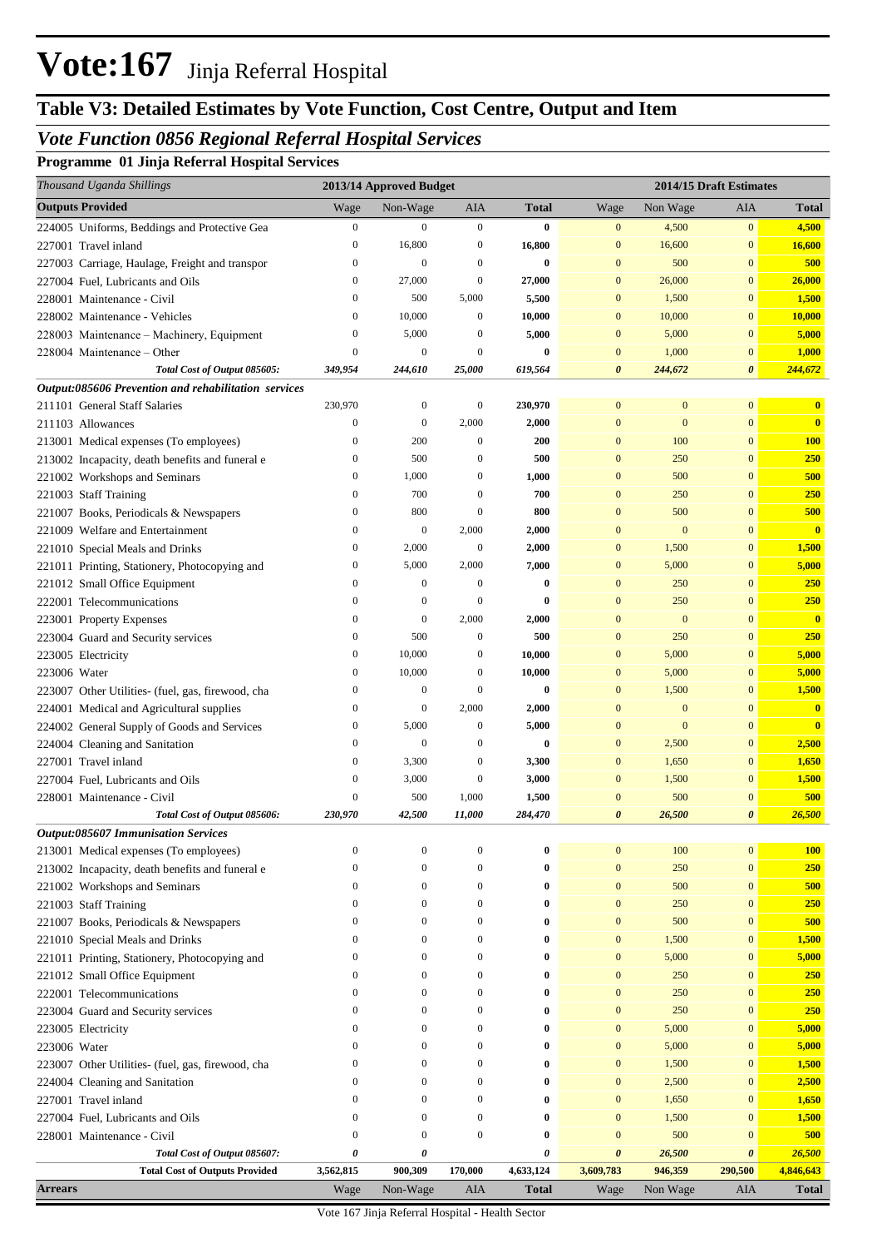## **Table V3: Detailed Estimates by Vote Function, Cost Centre, Output and Item**

### *Vote Function 0856 Regional Referral Hospital Services*

**Programme 01 Jinja Referral Hospital Services**

| Thousand Uganda Shillings                              | 2013/14 Approved Budget              |                            |                              |                   | 2014/15 Draft Estimates      |                       |                              |                              |
|--------------------------------------------------------|--------------------------------------|----------------------------|------------------------------|-------------------|------------------------------|-----------------------|------------------------------|------------------------------|
| <b>Outputs Provided</b>                                | Wage                                 | Non-Wage                   | AIA                          | <b>Total</b>      | Wage                         | Non Wage              | AIA                          | <b>Total</b>                 |
| 224005 Uniforms, Beddings and Protective Gea           | $\boldsymbol{0}$                     | $\boldsymbol{0}$           | $\boldsymbol{0}$             | $\bf{0}$          | $\mathbf{0}$                 | 4,500                 | $\mathbf{0}$                 | 4,500                        |
| 227001 Travel inland                                   | $\boldsymbol{0}$                     | 16,800                     | $\boldsymbol{0}$             | 16,800            | $\mathbf{0}$                 | 16,600                | $\mathbf{0}$                 | 16,600                       |
| 227003 Carriage, Haulage, Freight and transpor         | $\boldsymbol{0}$                     | $\mathbf{0}$               | $\boldsymbol{0}$             | $\bf{0}$          | $\mathbf{0}$                 | 500                   | $\mathbf{0}$                 | 500                          |
| 227004 Fuel, Lubricants and Oils                       | $\boldsymbol{0}$                     | 27,000                     | $\boldsymbol{0}$             | 27,000            | $\mathbf{0}$                 | 26,000                | $\mathbf{0}$                 | 26,000                       |
| 228001 Maintenance - Civil                             | $\boldsymbol{0}$                     | 500                        | 5,000                        | 5,500             | $\mathbf{0}$                 | 1,500                 | $\mathbf{0}$                 | 1,500                        |
| 228002 Maintenance - Vehicles                          | $\boldsymbol{0}$                     | 10,000                     | $\boldsymbol{0}$             | 10,000            | $\mathbf{0}$                 | 10,000                | $\mathbf{0}$                 | 10,000                       |
| 228003 Maintenance - Machinery, Equipment              | $\boldsymbol{0}$                     | 5,000                      | $\boldsymbol{0}$             | 5,000             | $\mathbf{0}$                 | 5,000                 | $\mathbf{0}$                 | 5,000                        |
| 228004 Maintenance – Other                             | $\boldsymbol{0}$                     | $\mathbf{0}$               | $\mathbf{0}$                 | $\bf{0}$          | $\mathbf{0}$                 | 1,000                 | $\mathbf{0}$                 | 1,000                        |
| Total Cost of Output 085605:                           | 349,954                              | 244,610                    | 25,000                       | 619,564           | 0                            | 244,672               | $\boldsymbol{\theta}$        | 244,672                      |
| Output:085606 Prevention and rehabilitation services   |                                      |                            |                              |                   |                              |                       |                              |                              |
| 211101 General Staff Salaries                          | 230,970                              | $\boldsymbol{0}$           | $\boldsymbol{0}$             | 230,970           | $\mathbf{0}$                 | $\boldsymbol{0}$      | $\mathbf{0}$                 | $\mathbf{0}$                 |
| 211103 Allowances                                      | $\boldsymbol{0}$                     | $\boldsymbol{0}$           | 2,000                        | 2,000             | $\mathbf{0}$                 | $\mathbf{0}$          | $\mathbf{0}$                 | $\mathbf{0}$                 |
| 213001 Medical expenses (To employees)                 | $\boldsymbol{0}$                     | 200                        | $\boldsymbol{0}$             | 200               | $\mathbf{0}$                 | 100                   | $\mathbf{0}$                 | <b>100</b>                   |
| 213002 Incapacity, death benefits and funeral e        | $\boldsymbol{0}$                     | 500                        | $\boldsymbol{0}$             | 500               | $\mathbf{0}$                 | 250                   | $\mathbf{0}$                 | 250                          |
| 221002 Workshops and Seminars                          | $\boldsymbol{0}$                     | 1,000                      | $\boldsymbol{0}$             | 1,000             | $\mathbf{0}$                 | 500                   | $\mathbf{0}$                 | 500                          |
| 221003 Staff Training                                  | $\boldsymbol{0}$                     | 700                        | $\boldsymbol{0}$             | 700               | $\mathbf{0}$                 | 250                   | $\mathbf{0}$                 | 250                          |
| 221007 Books, Periodicals & Newspapers                 | $\boldsymbol{0}$                     | 800                        | $\boldsymbol{0}$             | 800               | $\mathbf{0}$                 | 500                   | $\mathbf{0}$                 | 500                          |
| 221009 Welfare and Entertainment                       | $\boldsymbol{0}$                     | $\mathbf{0}$               | 2,000                        | 2,000             | $\mathbf{0}$                 | $\mathbf{0}$          | $\mathbf{0}$                 | $\bf{0}$                     |
| 221010 Special Meals and Drinks                        | $\boldsymbol{0}$                     | 2,000                      | $\boldsymbol{0}$             | 2,000             | $\mathbf{0}$                 | 1,500                 | $\mathbf{0}$                 | 1,500                        |
| 221011 Printing, Stationery, Photocopying and          | $\boldsymbol{0}$                     | 5,000                      | 2,000                        | 7,000             | $\mathbf{0}$                 | 5,000                 | $\mathbf{0}$                 | 5,000                        |
| 221012 Small Office Equipment                          | $\boldsymbol{0}$                     | $\mathbf{0}$               | $\boldsymbol{0}$             | $\bf{0}$          | $\mathbf{0}$                 | 250                   | $\mathbf{0}$                 | 250                          |
| 222001 Telecommunications                              | $\boldsymbol{0}$                     | $\mathbf{0}$               | $\theta$                     | $\bf{0}$          | $\mathbf{0}$                 | 250                   | $\mathbf{0}$                 | 250                          |
| 223001 Property Expenses                               | $\boldsymbol{0}$                     | $\boldsymbol{0}$           | 2,000                        | 2,000             | $\mathbf{0}$                 | $\mathbf{0}$          | $\mathbf{0}$                 | $\mathbf{0}$                 |
| 223004 Guard and Security services                     | $\boldsymbol{0}$                     | 500                        | $\boldsymbol{0}$             | 500               | $\mathbf{0}$                 | 250                   | $\mathbf{0}$                 | 250                          |
| 223005 Electricity                                     | $\boldsymbol{0}$                     | 10,000                     | $\boldsymbol{0}$             | 10,000            | $\mathbf{0}$                 | 5,000                 | $\mathbf{0}$                 | 5,000                        |
| 223006 Water                                           | $\boldsymbol{0}$                     | 10,000<br>$\boldsymbol{0}$ | $\boldsymbol{0}$<br>$\theta$ | 10,000            | $\mathbf{0}$                 | 5,000                 | $\mathbf{0}$<br>$\mathbf{0}$ | 5,000                        |
| 223007 Other Utilities- (fuel, gas, firewood, cha      | $\boldsymbol{0}$<br>$\boldsymbol{0}$ | $\mathbf{0}$               | 2,000                        | $\bf{0}$          | $\mathbf{0}$<br>$\mathbf{0}$ | 1,500<br>$\mathbf{0}$ | $\mathbf{0}$                 | 1,500                        |
| 224001 Medical and Agricultural supplies               | $\boldsymbol{0}$                     | 5,000                      | $\boldsymbol{0}$             | 2,000             | $\mathbf{0}$                 | $\mathbf{0}$          | $\mathbf{0}$                 | $\mathbf{0}$<br>$\mathbf{0}$ |
| 224002 General Supply of Goods and Services            | $\boldsymbol{0}$                     | $\mathbf{0}$               | $\boldsymbol{0}$             | 5,000<br>$\bf{0}$ | $\mathbf{0}$                 | 2,500                 | $\mathbf{0}$                 |                              |
| 224004 Cleaning and Sanitation<br>227001 Travel inland | $\boldsymbol{0}$                     | 3,300                      | $\boldsymbol{0}$             | 3,300             | $\mathbf{0}$                 | 1,650                 | $\mathbf{0}$                 | 2,500<br>1,650               |
| 227004 Fuel, Lubricants and Oils                       | $\boldsymbol{0}$                     | 3,000                      | $\boldsymbol{0}$             | 3,000             | $\mathbf{0}$                 | 1,500                 | $\mathbf{0}$                 | 1,500                        |
| 228001 Maintenance - Civil                             | $\boldsymbol{0}$                     | 500                        | 1,000                        | 1,500             | $\mathbf{0}$                 | 500                   | $\mathbf{0}$                 | 500                          |
| Total Cost of Output 085606:                           | 230,970                              | 42,500                     | 11,000                       | 284,470           | $\boldsymbol{\theta}$        | 26,500                | $\boldsymbol{\theta}$        | 26,500                       |
| <b>Output:085607 Immunisation Services</b>             |                                      |                            |                              |                   |                              |                       |                              |                              |
| 213001 Medical expenses (To employees)                 | $\boldsymbol{0}$                     | $\boldsymbol{0}$           | $\boldsymbol{0}$             | $\bf{0}$          | $\mathbf{0}$                 | 100                   | $\mathbf{0}$                 | <b>100</b>                   |
| 213002 Incapacity, death benefits and funeral e        | $\boldsymbol{0}$                     | $\boldsymbol{0}$           | $\boldsymbol{0}$             | $\bf{0}$          | $\mathbf{0}$                 | 250                   | $\mathbf{0}$                 | 250                          |
| 221002 Workshops and Seminars                          | $\boldsymbol{0}$                     | $\boldsymbol{0}$           | $\boldsymbol{0}$             | $\bf{0}$          | $\mathbf{0}$                 | 500                   | $\mathbf{0}$                 | 500                          |
| 221003 Staff Training                                  | $\boldsymbol{0}$                     | $\boldsymbol{0}$           | $\boldsymbol{0}$             | $\bf{0}$          | $\mathbf{0}$                 | 250                   | $\mathbf{0}$                 | 250                          |
| 221007 Books, Periodicals & Newspapers                 | $\boldsymbol{0}$                     | $\boldsymbol{0}$           | $\boldsymbol{0}$             | $\bf{0}$          | $\mathbf{0}$                 | 500                   | $\mathbf{0}$                 | 500                          |
| 221010 Special Meals and Drinks                        | $\boldsymbol{0}$                     | $\mathbf{0}$               | $\boldsymbol{0}$             | $\bf{0}$          | $\mathbf{0}$                 | 1,500                 | $\mathbf{0}$                 | 1,500                        |
| 221011 Printing, Stationery, Photocopying and          | $\boldsymbol{0}$                     | $\boldsymbol{0}$           | $\boldsymbol{0}$             | $\bf{0}$          | $\mathbf{0}$                 | 5,000                 | $\mathbf{0}$                 | 5,000                        |
| 221012 Small Office Equipment                          | $\boldsymbol{0}$                     | $\boldsymbol{0}$           | $\boldsymbol{0}$             | $\bf{0}$          | $\mathbf{0}$                 | 250                   | $\mathbf{0}$                 | <b>250</b>                   |
| 222001 Telecommunications                              | $\boldsymbol{0}$                     | $\mathbf{0}$               | $\boldsymbol{0}$             | $\bf{0}$          | $\mathbf{0}$                 | 250                   | $\mathbf{0}$                 | <b>250</b>                   |
| 223004 Guard and Security services                     | $\boldsymbol{0}$                     | $\mathbf{0}$               | $\boldsymbol{0}$             | $\bf{0}$          | $\mathbf{0}$                 | 250                   | $\mathbf{0}$                 | 250                          |
| 223005 Electricity                                     | $\mathbf{0}$                         | $\mathbf{0}$               | $\boldsymbol{0}$             | $\bf{0}$          | $\mathbf{0}$                 | 5,000                 | $\mathbf{0}$                 | 5,000                        |
| 223006 Water                                           | $\mathbf{0}$                         | $\mathbf{0}$               | $\boldsymbol{0}$             | $\bf{0}$          | $\mathbf{0}$                 | 5,000                 | $\mathbf{0}$                 | 5,000                        |
| 223007 Other Utilities- (fuel, gas, firewood, cha      | $\mathbf{0}$                         | $\mathbf{0}$               | $\boldsymbol{0}$             | $\bf{0}$          | $\mathbf{0}$                 | 1,500                 | $\mathbf{0}$                 | 1,500                        |
| 224004 Cleaning and Sanitation                         | $\mathbf{0}$                         | $\mathbf{0}$               | $\boldsymbol{0}$             | $\bf{0}$          | $\mathbf{0}$                 | 2,500                 | $\mathbf{0}$                 | 2,500                        |
| 227001 Travel inland                                   | $\mathbf{0}$                         | $\mathbf{0}$               | $\boldsymbol{0}$             | $\bf{0}$          | $\mathbf{0}$                 | 1,650                 | $\mathbf{0}$                 | 1,650                        |
| 227004 Fuel, Lubricants and Oils                       | $\mathbf{0}$                         | $\mathbf{0}$               | $\boldsymbol{0}$             | $\bf{0}$          | $\mathbf{0}$                 | 1,500                 | $\mathbf{0}$                 | 1,500                        |
| 228001 Maintenance - Civil                             | $\mathbf{0}$                         | $\mathbf{0}$               | $\boldsymbol{0}$             | $\bf{0}$          | $\mathbf{0}$                 | 500                   | $\mathbf{0}$                 | 500                          |
| Total Cost of Output 085607:                           | 0                                    | 0                          |                              | 0                 | $\boldsymbol{\theta}$        | 26,500                | $\pmb{\theta}$               | 26,500                       |
| <b>Total Cost of Outputs Provided</b>                  | 3,562,815                            | 900,309                    | 170,000                      | 4,633,124         | 3,609,783                    | 946,359               | 290,500                      | 4,846,643                    |
| <b>Arrears</b>                                         | Wage                                 | Non-Wage                   | AIA                          | <b>Total</b>      | Wage                         | Non Wage              | AIA                          | <b>Total</b>                 |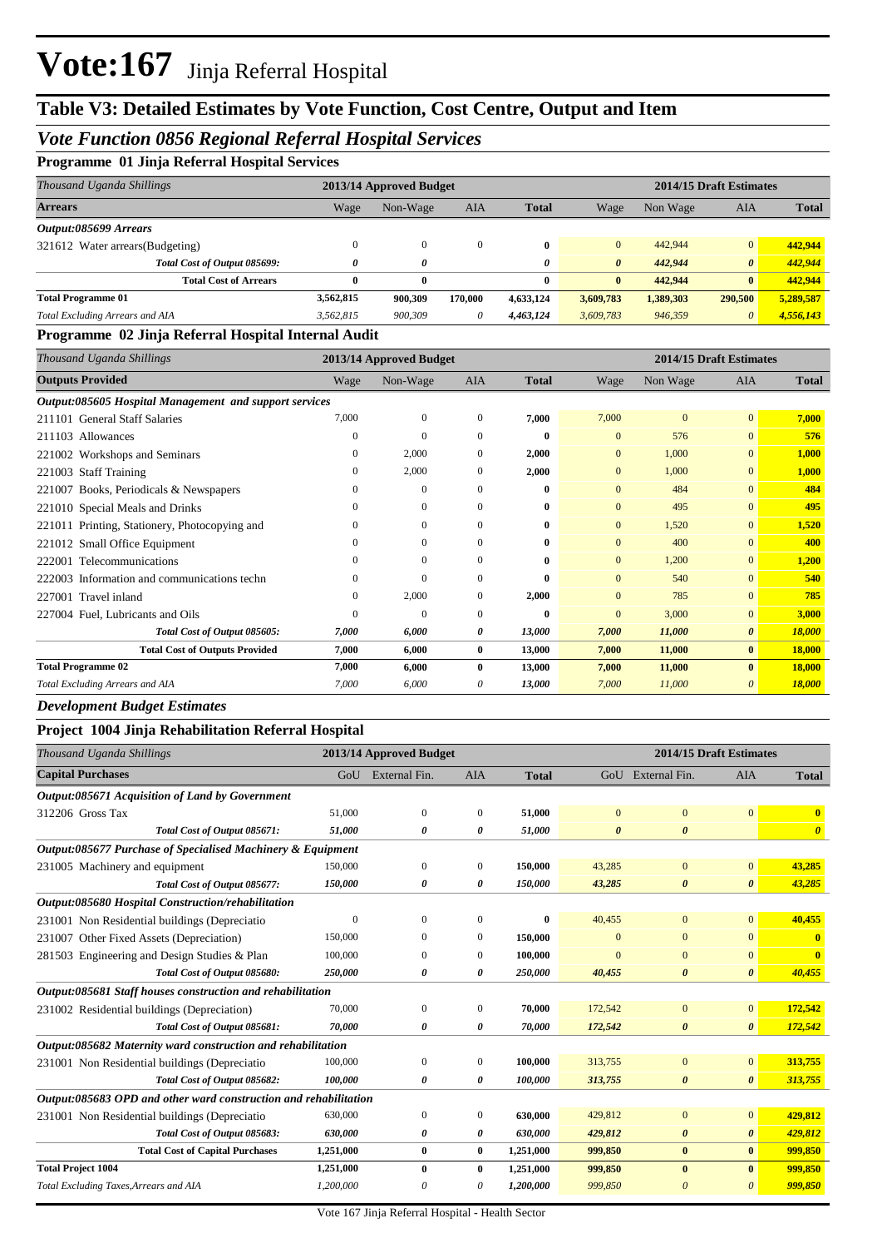## **Table V3: Detailed Estimates by Vote Function, Cost Centre, Output and Item**

#### *Vote Function 0856 Regional Referral Hospital Services*

| Programme 01 Jinja Referral Hospital Services |  |  |  |  |
|-----------------------------------------------|--|--|--|--|
|-----------------------------------------------|--|--|--|--|

| Thousand Uganda Shillings        |           | 2013/14 Approved Budget |            |              |                       | 2014/15 Draft Estimates |                       |              |  |  |
|----------------------------------|-----------|-------------------------|------------|--------------|-----------------------|-------------------------|-----------------------|--------------|--|--|
| <b>Arrears</b>                   | Wage      | Non-Wage                | <b>AIA</b> | <b>Total</b> | Wage                  | Non Wage                | AIA                   | <b>Total</b> |  |  |
| Output:085699 Arrears            |           |                         |            |              |                       |                         |                       |              |  |  |
| 321612 Water arrears (Budgeting) | 0         | $\mathbf{0}$            | $\theta$   | $\mathbf{0}$ | $\mathbf{0}$          | 442,944                 | $\Omega$              | 442.944      |  |  |
| Total Cost of Output 085699:     | 0         | 0                       |            | 0            | $\boldsymbol{\theta}$ | 442,944                 | $\boldsymbol{\theta}$ | 442,944      |  |  |
| <b>Total Cost of Arrears</b>     | 0         | $\bf{0}$                |            | $\mathbf{0}$ | $\bf{0}$              | 442,944                 | $\mathbf{0}$          | 442,944      |  |  |
| <b>Total Programme 01</b>        | 3,562,815 | 900,309                 | 170,000    | 4,633,124    | 3,609,783             | 1,389,303               | 290,500               | 5,289,587    |  |  |
| Total Excluding Arrears and AIA  | 3,562,815 | 900,309                 | $\theta$   | 4,463,124    | 3,609,783             | 946,359                 |                       | 4,556,143    |  |  |

#### **Programme 02 Jinja Referral Hospital Internal Audit**

| Thousand Uganda Shillings                              | 2013/14 Approved Budget |              |              |              | 2014/15 Draft Estimates |          |                |              |
|--------------------------------------------------------|-------------------------|--------------|--------------|--------------|-------------------------|----------|----------------|--------------|
| <b>Outputs Provided</b>                                | Wage                    | Non-Wage     | AIA          | <b>Total</b> | Wage                    | Non Wage | <b>AIA</b>     | <b>Total</b> |
| Output:085605 Hospital Management and support services |                         |              |              |              |                         |          |                |              |
| 211101 General Staff Salaries                          | 7,000                   | $\mathbf{0}$ | $\Omega$     | 7,000        | 7,000                   | $\Omega$ | $\overline{0}$ | 7,000        |
| 211103 Allowances                                      | $\Omega$                | $\theta$     | $\Omega$     | $\bf{0}$     | $\mathbf{0}$            | 576      | $\overline{0}$ | 576          |
| 221002 Workshops and Seminars                          | 0                       | 2,000        | $\mathbf{0}$ | 2,000        | $\mathbf{0}$            | 1,000    | $\overline{0}$ | 1,000        |
| 221003 Staff Training                                  | $\Omega$                | 2,000        | $\theta$     | 2,000        | $\mathbf{0}$            | 1,000    | $\overline{0}$ | 1,000        |
| 221007 Books, Periodicals & Newspapers                 | $\Omega$                | $\theta$     | $\Omega$     | 0            | $\Omega$                | 484      | $\overline{0}$ | 484          |
| 221010 Special Meals and Drinks                        | 0                       | $\mathbf{0}$ | $\Omega$     | $\bf{0}$     | $\mathbf{0}$            | 495      | $\overline{0}$ | 495          |
| 221011 Printing, Stationery, Photocopying and          | $\Omega$                | $\Omega$     | $\Omega$     | 0            | $\mathbf{0}$            | 1,520    | $\overline{0}$ | 1,520        |
| 221012 Small Office Equipment                          | $^{(1)}$                | $\mathbf{0}$ | $\Omega$     | 0            | $\Omega$                | 400      | $\overline{0}$ | 400          |
| 222001 Telecommunications                              | $\Omega$                | $\mathbf{0}$ | $\Omega$     | $\bf{0}$     | $\mathbf{0}$            | 1,200    | $\overline{0}$ | 1,200        |
| 222003 Information and communications techn            | $\Omega$                | $\mathbf{0}$ | $\theta$     | $\bf{0}$     | $\mathbf{0}$            | 540      | $\overline{0}$ | 540          |
| 227001 Travel inland                                   | 0                       | 2,000        | $\theta$     | 2,000        | $\mathbf{0}$            | 785      | $\overline{0}$ | 785          |
| 227004 Fuel, Lubricants and Oils                       | 0                       | $\mathbf{0}$ | $\Omega$     | $\mathbf{0}$ | $\overline{0}$          | 3,000    | $\overline{0}$ | 3,000        |
| Total Cost of Output 085605:                           | 7,000                   | 6,000        | 0            | 13,000       | 7,000                   | 11,000   | $\theta$       | 18,000       |
| <b>Total Cost of Outputs Provided</b>                  | 7,000                   | 6,000        | $\bf{0}$     | 13,000       | 7,000                   | 11,000   | $\bf{0}$       | 18,000       |
| <b>Total Programme 02</b>                              | 7,000                   | 6,000        | $\mathbf{0}$ | 13,000       | 7,000                   | 11,000   | $\mathbf{0}$   | 18,000       |
| Total Excluding Arrears and AIA                        | 7,000                   | 6,000        | 0            | 13,000       | 7,000                   | 11,000   | $\theta$       | 18,000       |

#### *Development Budget Estimates*

#### **Project 1004 Jinja Rehabilitation Referral Hospital**

| Thousand Uganda Shillings                                        |              | 2013/14 Approved Budget |              |              |                       | 2014/15 Draft Estimates |                       |                         |  |  |
|------------------------------------------------------------------|--------------|-------------------------|--------------|--------------|-----------------------|-------------------------|-----------------------|-------------------------|--|--|
| <b>Capital Purchases</b>                                         |              | GoU External Fin.       | <b>AIA</b>   | <b>Total</b> |                       | GoU External Fin.       | <b>AIA</b>            | <b>Total</b>            |  |  |
| Output:085671 Acquisition of Land by Government                  |              |                         |              |              |                       |                         |                       |                         |  |  |
| 312206 Gross Tax                                                 | 51,000       | $\overline{0}$          | 0            | 51,000       | $\mathbf{0}$          | $\mathbf{0}$            | $\mathbf{0}$          | $\overline{\mathbf{0}}$ |  |  |
| Total Cost of Output 085671:                                     | 51,000       | 0                       | 0            | 51,000       | $\boldsymbol{\theta}$ | $\boldsymbol{\theta}$   |                       | $\boldsymbol{\theta}$   |  |  |
| Output:085677 Purchase of Specialised Machinery & Equipment      |              |                         |              |              |                       |                         |                       |                         |  |  |
| 231005 Machinery and equipment                                   | 150,000      | $\mathbf{0}$            | $\mathbf{0}$ | 150,000      | 43,285                | $\mathbf{0}$            | $\mathbf{0}$          | 43,285                  |  |  |
| Total Cost of Output 085677:                                     | 150,000      | 0                       | 0            | 150,000      | 43,285                | $\boldsymbol{\theta}$   | $\boldsymbol{\theta}$ | 43,285                  |  |  |
| Output:085680 Hospital Construction/rehabilitation               |              |                         |              |              |                       |                         |                       |                         |  |  |
| 231001 Non Residential buildings (Depreciatio                    | $\mathbf{0}$ | $\Omega$                | $\Omega$     | $\mathbf{0}$ | 40,455                | $\mathbf{0}$            | $\mathbf{0}$          | 40,455                  |  |  |
| 231007 Other Fixed Assets (Depreciation)                         | 150,000      | $\Omega$                | 0            | 150,000      | $\Omega$              | $\Omega$                | $\Omega$              | $\mathbf{0}$            |  |  |
| 281503 Engineering and Design Studies & Plan                     | 100,000      | $\Omega$                | $\mathbf{0}$ | 100,000      | $\Omega$              | $\mathbf{0}$            | $\overline{0}$        | $\mathbf{0}$            |  |  |
| Total Cost of Output 085680:                                     | 250,000      | 0                       | 0            | 250,000      | 40,455                | $\boldsymbol{\theta}$   | $\boldsymbol{\theta}$ | 40,455                  |  |  |
| Output:085681 Staff houses construction and rehabilitation       |              |                         |              |              |                       |                         |                       |                         |  |  |
| 231002 Residential buildings (Depreciation)                      | 70,000       | $\mathbf{0}$            | 0            | 70,000       | 172,542               | $\mathbf{0}$            | $\overline{0}$        | 172,542                 |  |  |
| Total Cost of Output 085681:                                     | 70,000       | 0                       | 0            | 70,000       | 172,542               | $\boldsymbol{\theta}$   | $\boldsymbol{\theta}$ | 172,542                 |  |  |
| Output:085682 Maternity ward construction and rehabilitation     |              |                         |              |              |                       |                         |                       |                         |  |  |
| 231001 Non Residential buildings (Depreciatio                    | 100,000      | $\mathbf{0}$            | 0            | 100,000      | 313,755               | $\overline{0}$          | $\overline{0}$        | 313,755                 |  |  |
| Total Cost of Output 085682:                                     | 100,000      | 0                       | 0            | 100,000      | 313,755               | $\pmb{\theta}$          | $\boldsymbol{\theta}$ | 313,755                 |  |  |
| Output:085683 OPD and other ward construction and rehabilitation |              |                         |              |              |                       |                         |                       |                         |  |  |
| 231001 Non Residential buildings (Depreciatio                    | 630,000      | $\mathbf{0}$            | 0            | 630,000      | 429,812               | $\mathbf{0}$            | $\overline{0}$        | 429,812                 |  |  |
| Total Cost of Output 085683:                                     | 630,000      | 0                       | 0            | 630,000      | 429,812               | $\boldsymbol{\theta}$   | $\boldsymbol{\theta}$ | 429,812                 |  |  |
| <b>Total Cost of Capital Purchases</b>                           | 1,251,000    | $\bf{0}$                | 0            | 1,251,000    | 999,850               | $\bf{0}$                | $\bf{0}$              | 999,850                 |  |  |
| <b>Total Project 1004</b>                                        | 1,251,000    | $\bf{0}$                | $\bf{0}$     | 1,251,000    | 999,850               | $\bf{0}$                | $\bf{0}$              | 999,850                 |  |  |
| Total Excluding Taxes, Arrears and AIA                           | 1,200,000    | 0                       | 0            | 1,200,000    | 999,850               | $\theta$                | $\theta$              | 999,850                 |  |  |